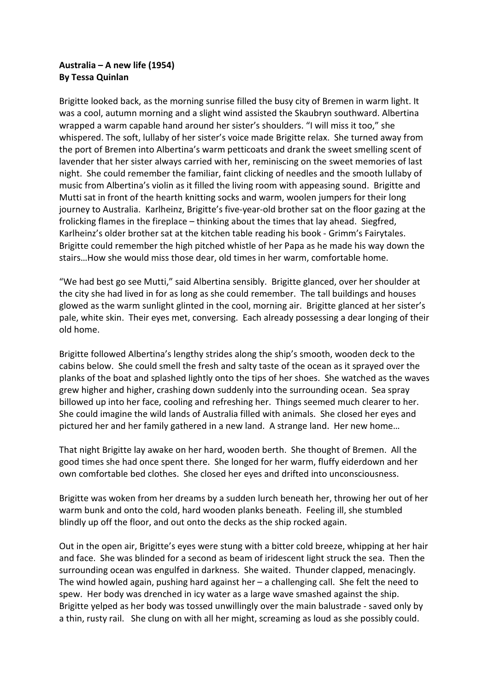## **Australia – A new life (1954) By Tessa Quinlan**

Brigitte looked back, as the morning sunrise filled the busy city of Bremen in warm light. It was a cool, autumn morning and a slight wind assisted the Skaubryn southward. Albertina wrapped a warm capable hand around her sister's shoulders. "I will miss it too," she whispered. The soft, lullaby of her sister's voice made Brigitte relax. She turned away from the port of Bremen into Albertina's warm petticoats and drank the sweet smelling scent of lavender that her sister always carried with her, reminiscing on the sweet memories of last night. She could remember the familiar, faint clicking of needles and the smooth lullaby of music from Albertina's violin as it filled the living room with appeasing sound. Brigitte and Mutti sat in front of the hearth knitting socks and warm, woolen jumpers for their long journey to Australia. Karlheinz, Brigitte's five-year-old brother sat on the floor gazing at the frolicking flames in the fireplace – thinking about the times that lay ahead. Siegfred, Karlheinz's older brother sat at the kitchen table reading his book - Grimm's Fairytales. Brigitte could remember the high pitched whistle of her Papa as he made his way down the stairs…How she would miss those dear, old times in her warm, comfortable home.

"We had best go see Mutti," said Albertina sensibly. Brigitte glanced, over her shoulder at the city she had lived in for as long as she could remember. The tall buildings and houses glowed as the warm sunlight glinted in the cool, morning air. Brigitte glanced at her sister's pale, white skin. Their eyes met, conversing. Each already possessing a dear longing of their old home.

Brigitte followed Albertina's lengthy strides along the ship's smooth, wooden deck to the cabins below. She could smell the fresh and salty taste of the ocean as it sprayed over the planks of the boat and splashed lightly onto the tips of her shoes. She watched as the waves grew higher and higher, crashing down suddenly into the surrounding ocean. Sea spray billowed up into her face, cooling and refreshing her. Things seemed much clearer to her. She could imagine the wild lands of Australia filled with animals. She closed her eyes and pictured her and her family gathered in a new land. A strange land. Her new home…

That night Brigitte lay awake on her hard, wooden berth. She thought of Bremen. All the good times she had once spent there. She longed for her warm, fluffy eiderdown and her own comfortable bed clothes. She closed her eyes and drifted into unconsciousness.

Brigitte was woken from her dreams by a sudden lurch beneath her, throwing her out of her warm bunk and onto the cold, hard wooden planks beneath. Feeling ill, she stumbled blindly up off the floor, and out onto the decks as the ship rocked again.

Out in the open air, Brigitte's eyes were stung with a bitter cold breeze, whipping at her hair and face. She was blinded for a second as beam of iridescent light struck the sea. Then the surrounding ocean was engulfed in darkness. She waited. Thunder clapped, menacingly. The wind howled again, pushing hard against her  $-$  a challenging call. She felt the need to spew. Her body was drenched in icy water as a large wave smashed against the ship. Brigitte yelped as her body was tossed unwillingly over the main balustrade - saved only by a thin, rusty rail. She clung on with all her might, screaming as loud as she possibly could.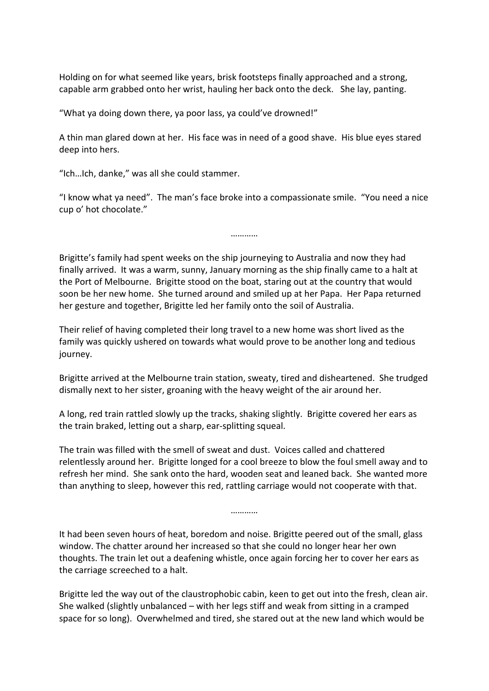Holding on for what seemed like years, brisk footsteps finally approached and a strong, capable arm grabbed onto her wrist, hauling her back onto the deck. She lay, panting.

"What ya doing down there, ya poor lass, ya could've drowned!"

A thin man glared down at her. His face was in need of a good shave. His blue eyes stared deep into hers.

"Ich…Ich, danke," was all she could stammer.

"I know what ya need". The man's face broke into a compassionate smile. "You need a nice cup o' hot chocolate."

…………

Brigitte's family had spent weeks on the ship journeying to Australia and now they had finally arrived. It was a warm, sunny, January morning as the ship finally came to a halt at the Port of Melbourne. Brigitte stood on the boat, staring out at the country that would soon be her new home. She turned around and smiled up at her Papa. Her Papa returned her gesture and together, Brigitte led her family onto the soil of Australia.

Their relief of having completed their long travel to a new home was short lived as the family was quickly ushered on towards what would prove to be another long and tedious journey.

Brigitte arrived at the Melbourne train station, sweaty, tired and disheartened. She trudged dismally next to her sister, groaning with the heavy weight of the air around her.

A long, red train rattled slowly up the tracks, shaking slightly. Brigitte covered her ears as the train braked, letting out a sharp, ear-splitting squeal.

The train was filled with the smell of sweat and dust. Voices called and chattered relentlessly around her. Brigitte longed for a cool breeze to blow the foul smell away and to refresh her mind. She sank onto the hard, wooden seat and leaned back. She wanted more than anything to sleep, however this red, rattling carriage would not cooperate with that.

…………

It had been seven hours of heat, boredom and noise. Brigitte peered out of the small, glass window. The chatter around her increased so that she could no longer hear her own thoughts. The train let out a deafening whistle, once again forcing her to cover her ears as the carriage screeched to a halt.

Brigitte led the way out of the claustrophobic cabin, keen to get out into the fresh, clean air. She walked (slightly unbalanced – with her legs stiff and weak from sitting in a cramped space for so long). Overwhelmed and tired, she stared out at the new land which would be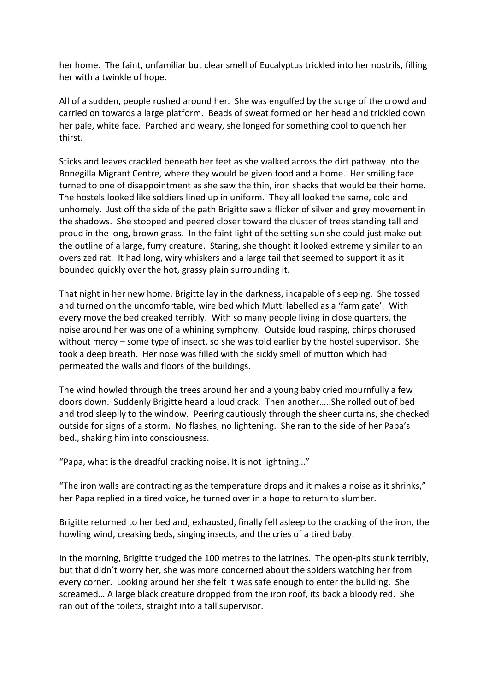her home. The faint, unfamiliar but clear smell of Eucalyptus trickled into her nostrils, filling her with a twinkle of hope.

All of a sudden, people rushed around her. She was engulfed by the surge of the crowd and carried on towards a large platform. Beads of sweat formed on her head and trickled down her pale, white face. Parched and weary, she longed for something cool to quench her thirst.

Sticks and leaves crackled beneath her feet as she walked across the dirt pathway into the Bonegilla Migrant Centre, where they would be given food and a home. Her smiling face turned to one of disappointment as she saw the thin, iron shacks that would be their home. The hostels looked like soldiers lined up in uniform. They all looked the same, cold and unhomely. Just off the side of the path Brigitte saw a flicker of silver and grey movement in the shadows. She stopped and peered closer toward the cluster of trees standing tall and proud in the long, brown grass. In the faint light of the setting sun she could just make out the outline of a large, furry creature. Staring, she thought it looked extremely similar to an oversized rat. It had long, wiry whiskers and a large tail that seemed to support it as it bounded quickly over the hot, grassy plain surrounding it.

That night in her new home, Brigitte lay in the darkness, incapable of sleeping. She tossed and turned on the uncomfortable, wire bed which Mutti labelled as a 'farm gate'. With every move the bed creaked terribly. With so many people living in close quarters, the noise around her was one of a whining symphony. Outside loud rasping, chirps chorused without mercy – some type of insect, so she was told earlier by the hostel supervisor. She took a deep breath. Her nose was filled with the sickly smell of mutton which had permeated the walls and floors of the buildings.

The wind howled through the trees around her and a young baby cried mournfully a few doors down. Suddenly Brigitte heard a loud crack. Then another…..She rolled out of bed and trod sleepily to the window. Peering cautiously through the sheer curtains, she checked outside for signs of a storm. No flashes, no lightening. She ran to the side of her Papa's bed., shaking him into consciousness.

"Papa, what is the dreadful cracking noise. It is not lightning…"

"The iron walls are contracting as the temperature drops and it makes a noise as it shrinks," her Papa replied in a tired voice, he turned over in a hope to return to slumber.

Brigitte returned to her bed and, exhausted, finally fell asleep to the cracking of the iron, the howling wind, creaking beds, singing insects, and the cries of a tired baby.

In the morning, Brigitte trudged the 100 metres to the latrines. The open-pits stunk terribly, but that didn't worry her, she was more concerned about the spiders watching her from every corner. Looking around her she felt it was safe enough to enter the building. She screamed… A large black creature dropped from the iron roof, its back a bloody red. She ran out of the toilets, straight into a tall supervisor.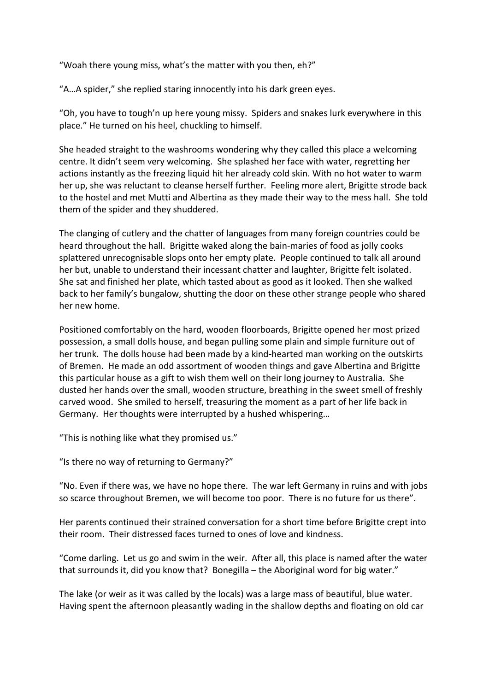"Woah there young miss, what's the matter with you then, eh?"

"A…A spider," she replied staring innocently into his dark green eyes.

"Oh, you have to tough'n up here young missy. Spiders and snakes lurk everywhere in this place." He turned on his heel, chuckling to himself.

She headed straight to the washrooms wondering why they called this place a welcoming centre. It didn't seem very welcoming. She splashed her face with water, regretting her actions instantly as the freezing liquid hit her already cold skin. With no hot water to warm her up, she was reluctant to cleanse herself further. Feeling more alert, Brigitte strode back to the hostel and met Mutti and Albertina as they made their way to the mess hall. She told them of the spider and they shuddered.

The clanging of cutlery and the chatter of languages from many foreign countries could be heard throughout the hall. Brigitte waked along the bain-maries of food as jolly cooks splattered unrecognisable slops onto her empty plate. People continued to talk all around her but, unable to understand their incessant chatter and laughter, Brigitte felt isolated. She sat and finished her plate, which tasted about as good as it looked. Then she walked back to her family's bungalow, shutting the door on these other strange people who shared her new home.

Positioned comfortably on the hard, wooden floorboards, Brigitte opened her most prized possession, a small dolls house, and began pulling some plain and simple furniture out of her trunk. The dolls house had been made by a kind-hearted man working on the outskirts of Bremen. He made an odd assortment of wooden things and gave Albertina and Brigitte this particular house as a gift to wish them well on their long journey to Australia. She dusted her hands over the small, wooden structure, breathing in the sweet smell of freshly carved wood. She smiled to herself, treasuring the moment as a part of her life back in Germany. Her thoughts were interrupted by a hushed whispering…

"This is nothing like what they promised us."

"Is there no way of returning to Germany?"

"No. Even if there was, we have no hope there. The war left Germany in ruins and with jobs so scarce throughout Bremen, we will become too poor. There is no future for us there".

Her parents continued their strained conversation for a short time before Brigitte crept into their room. Their distressed faces turned to ones of love and kindness.

"Come darling. Let us go and swim in the weir. After all, this place is named after the water that surrounds it, did you know that? Bonegilla – the Aboriginal word for big water."

The lake (or weir as it was called by the locals) was a large mass of beautiful, blue water. Having spent the afternoon pleasantly wading in the shallow depths and floating on old car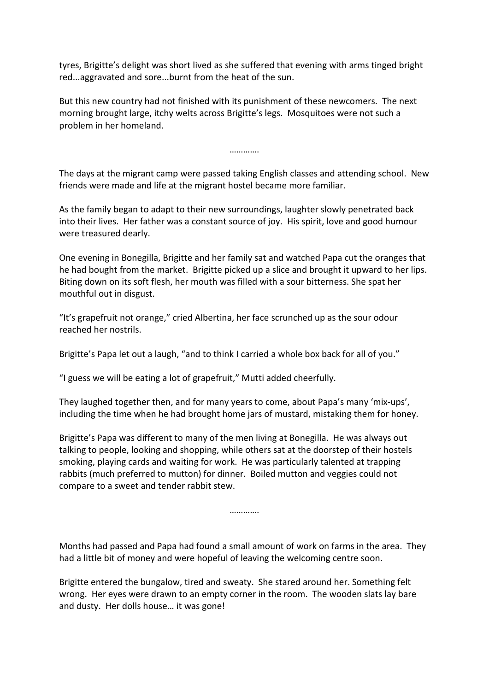tyres, Brigitte's delight was short lived as she suffered that evening with arms tinged bright red...aggravated and sore...burnt from the heat of the sun.

But this new country had not finished with its punishment of these newcomers. The next morning brought large, itchy welts across Brigitte's legs. Mosquitoes were not such a problem in her homeland.

The days at the migrant camp were passed taking English classes and attending school. New friends were made and life at the migrant hostel became more familiar.

………………

As the family began to adapt to their new surroundings, laughter slowly penetrated back into their lives. Her father was a constant source of joy. His spirit, love and good humour were treasured dearly.

One evening in Bonegilla, Brigitte and her family sat and watched Papa cut the oranges that he had bought from the market. Brigitte picked up a slice and brought it upward to her lips. Biting down on its soft flesh, her mouth was filled with a sour bitterness. She spat her mouthful out in disgust.

"It's grapefruit not orange," cried Albertina, her face scrunched up as the sour odour reached her nostrils.

Brigitte's Papa let out a laugh, "and to think I carried a whole box back for all of you."

"I guess we will be eating a lot of grapefruit," Mutti added cheerfully.

They laughed together then, and for many years to come, about Papa's many 'mix-ups', including the time when he had brought home jars of mustard, mistaking them for honey.

Brigitte's Papa was different to many of the men living at Bonegilla. He was always out talking to people, looking and shopping, while others sat at the doorstep of their hostels smoking, playing cards and waiting for work. He was particularly talented at trapping rabbits (much preferred to mutton) for dinner. Boiled mutton and veggies could not compare to a sweet and tender rabbit stew.

…………

Months had passed and Papa had found a small amount of work on farms in the area. They had a little bit of money and were hopeful of leaving the welcoming centre soon.

Brigitte entered the bungalow, tired and sweaty. She stared around her. Something felt wrong. Her eyes were drawn to an empty corner in the room. The wooden slats lay bare and dusty. Her dolls house… it was gone!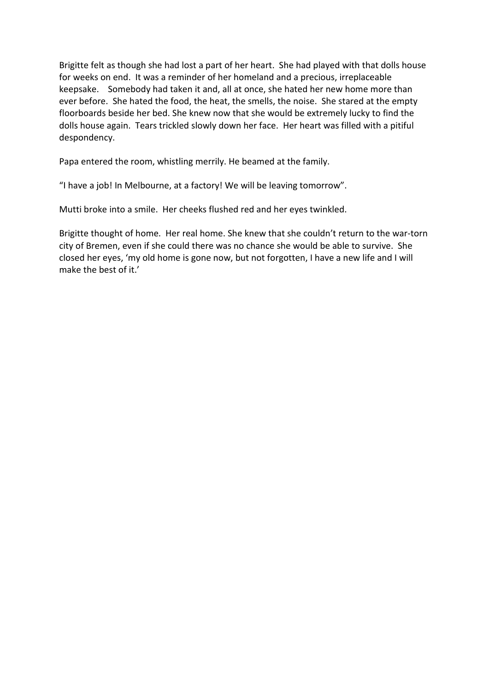Brigitte felt as though she had lost a part of her heart. She had played with that dolls house for weeks on end. It was a reminder of her homeland and a precious, irreplaceable keepsake. Somebody had taken it and, all at once, she hated her new home more than ever before. She hated the food, the heat, the smells, the noise. She stared at the empty floorboards beside her bed. She knew now that she would be extremely lucky to find the dolls house again. Tears trickled slowly down her face. Her heart was filled with a pitiful despondency.

Papa entered the room, whistling merrily. He beamed at the family.

"I have a job! In Melbourne, at a factory! We will be leaving tomorrow".

Mutti broke into a smile. Her cheeks flushed red and her eyes twinkled.

Brigitte thought of home. Her real home. She knew that she couldn't return to the war-torn city of Bremen, even if she could there was no chance she would be able to survive. She closed her eyes, 'my old home is gone now, but not forgotten, I have a new life and I will make the best of it.'